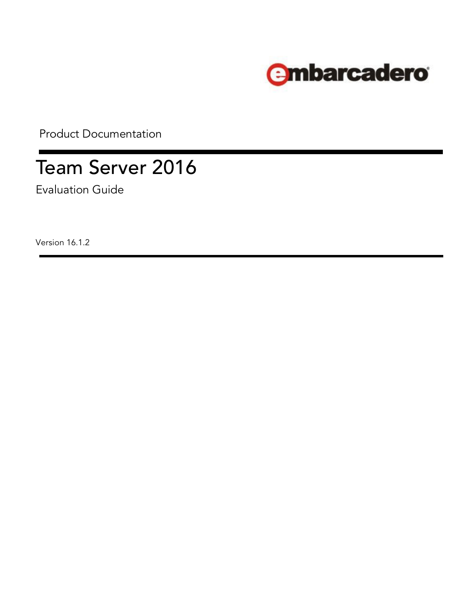

Product Documentation

# Team Server 2016

Evaluation Guide

Version 16.1.2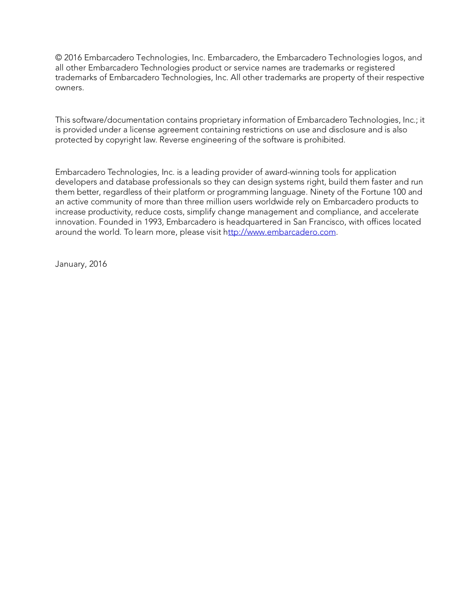© 2016 Embarcadero Technologies, Inc. Embarcadero, the Embarcadero Technologies logos, and all other Embarcadero Technologies product or service names are trademarks or registered trademarks of Embarcadero Technologies, Inc. All other trademarks are property of their respective owners.

This software/documentation contains proprietary information of Embarcadero Technologies, Inc.; it is provided under a license agreement containing restrictions on use and disclosure and is also protected by copyright law. Reverse engineering of the software is prohibited.

Embarcadero Technologies, Inc. is a leading provider of award-winning tools for application developers and database professionals so they can design systems right, build them faster and run them better, regardless of their platform or programming language. Ninety of the Fortune 100 and an active community of more than three million users worldwide rely on Embarcadero products to increase productivity, reduce costs, simplify change management and compliance, and accelerate innovation. Founded in 1993, Embarcadero is headquartered in San Francisco, with offices located around the world. To learn more, please visit [http://www.embarcadero.com.](http://www.embarcadero.com/)

January, 2016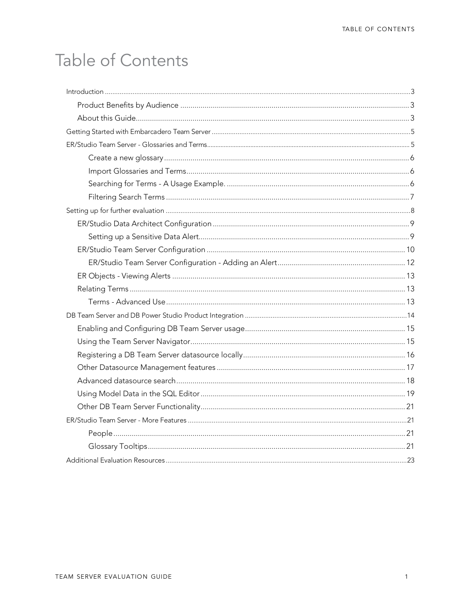# Table of Contents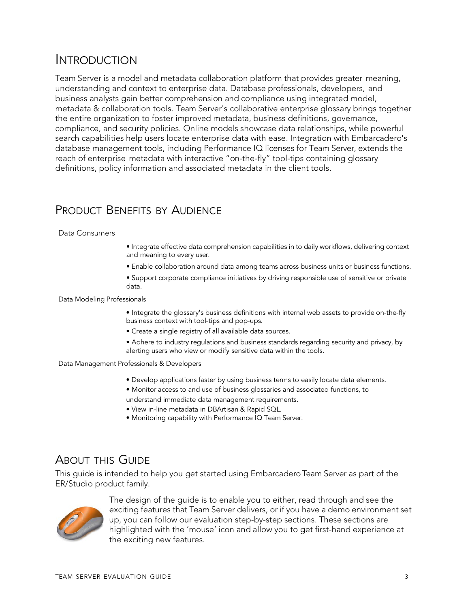# <span id="page-3-0"></span>**INTRODUCTION**

Team Server is a model and metadata collaboration platform that provides greater meaning, understanding and context to enterprise data. Database professionals, developers, and business analysts gain better comprehension and compliance using integrated model, metadata & collaboration tools. Team Server's collaborative enterprise glossary brings together the entire organization to foster improved metadata, business definitions, governance, compliance, and security policies. Online models showcase data relationships, while powerful search capabilities help users locate enterprise data with ease. Integration with Embarcadero's database management tools, including Performance IQ licenses for Team Server, extends the reach of enterprise metadata with interactive "on-the-fly" tool-tips containing glossary definitions, policy information and associated metadata in the client tools.

### <span id="page-3-1"></span>PRODUCT BENEFITS BY AUDIENCE

#### Data Consumers

- Integrate effective data comprehension capabilities in to daily workflows, delivering context and meaning to every user.
- Enable collaboration around data among teams across business units or business functions.
- Support corporate compliance initiatives by driving responsible use of sensitive or private data.

#### Data Modeling Professionals

- Integrate the glossary's business definitions with internal web assets to provide on-the-fly business context with tool-tips and pop-ups.
- Create a single registry of all available data sources.
- Adhere to industry regulations and business standards regarding security and privacy, by alerting users who view or modify sensitive data within the tools.

#### Data Management Professionals & Developers

- Develop applications faster by using business terms to easily locate data elements.
- Monitor access to and use of business glossaries and associated functions, to understand immediate data management requirements.
- View in-line metadata in DBArtisan & Rapid SQL.
- Monitoring capability with Performance IQ Team Server.

#### <span id="page-3-2"></span>ABOUT THIS GUIDE

This guide is intended to help you get started using Embarcadero Team Server as part of the ER/Studio product family.



The design of the guide is to enable you to either, read through and see the exciting features that Team Server delivers, or if you have a demo environment set up, you can follow our evaluation step-by-step sections. These sections are highlighted with the 'mouse' icon and allow you to get first-hand experience at the exciting new features.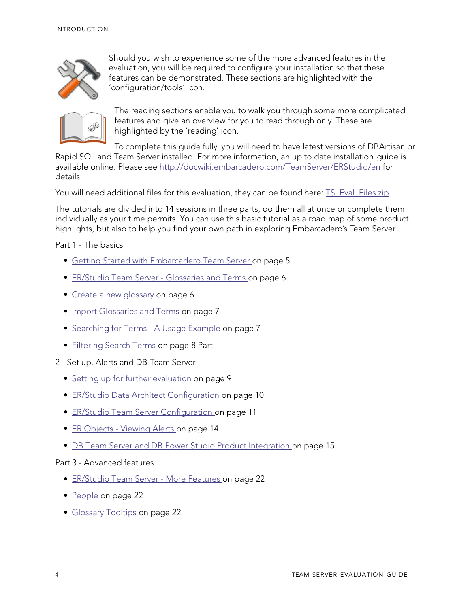

Should you wish to experience some of the more advanced features in the evaluation, you will be required to configure your installation so that these features can be demonstrated. These sections are highlighted with the 'configuration/tools' icon.



The reading sections enable you to walk you through some more complicated features and give an overview for you to read through only. These are highlighted by the 'reading' icon.

To complete this guide fully, [you will need to have latest versions of DBArtisan](http://docwiki.embarcadero.com/TeamServer/ERStudio/en/Main_Page) or

Rapid SQL and Team Server installed. For [more information,](http://docwiki.embarcadero.com/TeamServer/ERStudio/en/Main_Page) an up to date installation [guide](http://docwiki.embarcadero.com/TeamServer/ERStudio/en/Main_Page) is [available](http://docwiki.embarcadero.com/TeamServer/ERStudio/en/Main_Page) online. Please see <http://docwiki.embarcadero.com/TeamServer/ERStudio/en> for details.

You will need additional files for this evaluation, they can be found here: **TS** Eval Files.zip

The tutorials are divided into 14 sessions in three parts, do them all at once or complete them individually as your time permits. You can use this basic tutorial as a road map of some product highlights, but also to help you find your own path in exploring Embarcadero's Team Server.

Part 1 - The basics

- [Getting Started with Embarcadero Team Server on page 5](#page-5-0)
- [ER/Studio Team Server -](#page-6-0) Glossaries and Terms on page 6
- [Create a new glossary on](#page-6-1) page 6
- [Import Glossaries and Terms on page 7](#page-7-0)
- [Searching for Terms -](#page-7-1) A Usage Example on page 7
- [Filtering Search Terms on](#page-8-0) page 8 Part
- 2 Set up, Alerts and DB Team Server
	- [Setting up for further evaluation](#page-9-0) on page 9
	- [ER/Studio Data Architect Configuration on](#page-10-0) page 10
	- [ER/Studio Team Server Configuration on](#page-11-0) page 11
	- ER Objects [Viewing Alerts](#page-14-1) on page 14
	- [DB Team Server and DB Power Studio Product Integration on page 15](#page-15-0)

#### Part 3 - Advanced features

- [ER/Studio Team Server -](#page-22-0) More Features on page 22
- [People on page 22](#page-22-1)
- [Glossary Tooltips on page 22](#page-22-2)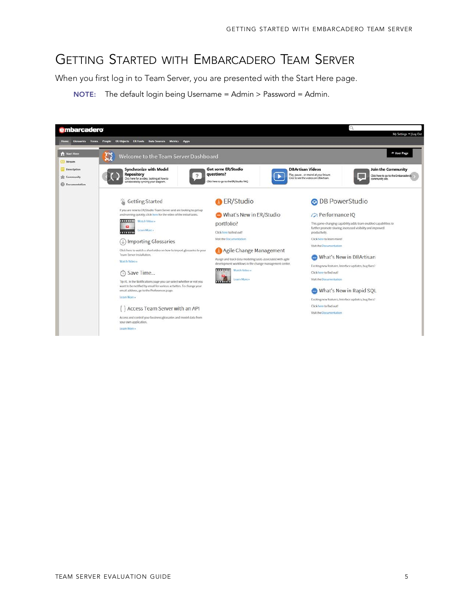# <span id="page-5-0"></span>GETTING STARTED WITH EMBARCADERO TEAM SERVER

When you first log in to Team Server, you are presented with the Start Here page.

NOTE: The default login being Username = Admin > Password = Admin.

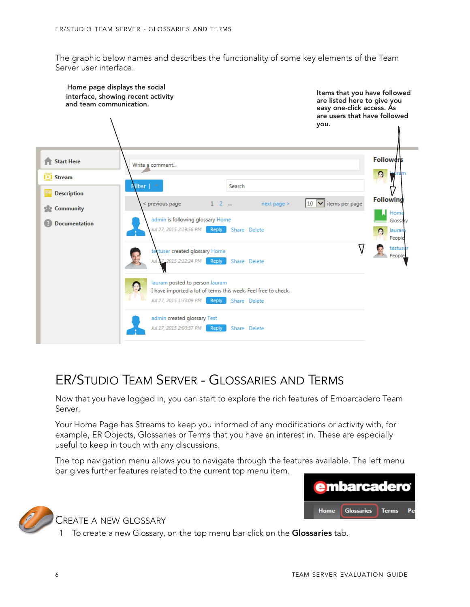The graphic below names and describes the functionality of some key elements of the Team Server user interface.



# <span id="page-6-0"></span>ER/STUDIO TEAM SERVER - GLOSSARIES AND TERMS

Now that you have logged in, you can start to explore the rich features of Embarcadero Team Server.

Your Home Page has Streams to keep you informed of any modifications or activity with, for example, ER Objects, Glossaries or Terms that you have an interest in. These are especially useful to keep in touch with any discussions.

The top navigation menu allows you to navigate through the features available. The left menu bar gives further features related to the current top menu item.





<span id="page-6-1"></span>CREATE A NEW GLOSSARY

1 To create a new Glossary, on the top menu bar click on the Glossaries tab.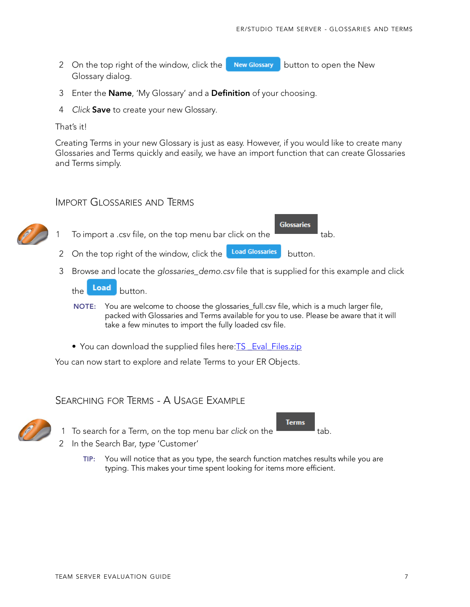2 On the top right of the window, click the **New Glossary** button to open the New Glossary dialog.

- 3 Enter the **Name**, 'My Glossary' and a **Definition** of your choosing.
- 4 *Click* Save to create your new Glossary.

#### That's it!

Creating Terms in your new Glossary is just as easy. However, if you would like to create many Glossaries and Terms quickly and easily, we have an import function that can create Glossaries and Terms simply.

#### IMPORT GLOSSARIES AND TERMS

<span id="page-7-0"></span>

- 3 Browse and locate the *glossaries\_demo.csv* file that is supplied for this example and click
	- the Load button.
	- NOTE: You are welcome to choose the glossaries\_full.csv file, which is a much larger file, packed with Glossaries and Terms available for you to use. Please be aware that it will take a few minutes to import the fully loaded csv file.
	- You can download the supplied files here: TS Eval Files.zip

You can now start to explore and relate Terms to your ER Objects.

#### SEARCHING FOR TERMS - A USAGE EXAMPLE

<span id="page-7-1"></span>

1 To search for a Term, on the top menu bar *click* on the tab.



- 2 In the Search Bar, *type* 'Customer'
	- TIP: You will notice that as you type, the search function matches results while you are typing. This makes your time spent looking for items more efficient.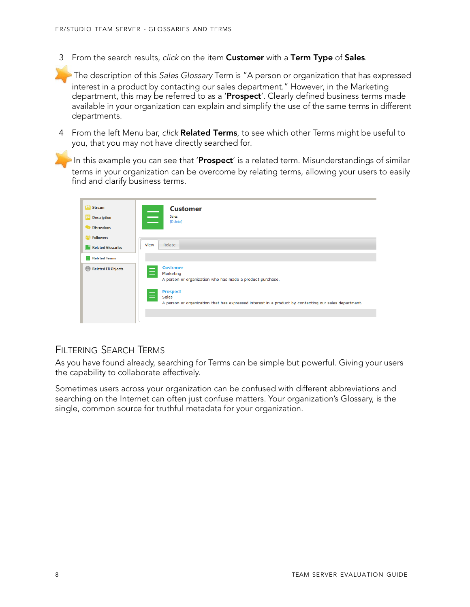3 From the search results, *click* on the item Customer with a Term Type of Sales.

The description of this *Sales Glossary* Term is "A person or organization that has expressed interest in a product by contacting our sales department." However, in the Marketing department, this may be referred to as a 'Prospect'. Clearly defined business terms made available in your organization can explain and simplify the use of the same terms in different departments.

4 From the left Menu bar, *click* Related Terms, to see which other Terms might be useful to you, that you may not have directly searched for.

In this example you can see that 'Prospect' is a related term. Misunderstandings of similar terms in your organization can be overcome by relating terms, allowing your users to easily find and clarify business terms.

| <b>ED</b> Stream          | <b>Customer</b>                                                                                                                                      |
|---------------------------|------------------------------------------------------------------------------------------------------------------------------------------------------|
| <b>Description</b>        | Ξ<br><b>Sales</b><br>[Delete]                                                                                                                        |
| <b>Discussions</b>        |                                                                                                                                                      |
| <b>Followers</b>          |                                                                                                                                                      |
| <b>Related Glossaries</b> | Relate<br>View                                                                                                                                       |
| Related Terms             |                                                                                                                                                      |
| Related ER Objects        | <b>Customer</b><br>Marketing<br>A person or organization who has made a product purchase.                                                            |
|                           | <b>Prospect</b><br>$\equiv$<br><b>Sales</b><br>A person or organization that has expressed interest in a product by contacting our sales department. |
|                           |                                                                                                                                                      |

#### <span id="page-8-0"></span>FILTERING SEARCH TERMS

As you have found already, searching for Terms can be simple but powerful. Giving your users the capability to collaborate effectively.

Sometimes users across your organization can be confused with different abbreviations and searching on the Internet can often just confuse matters. Your organization's Glossary, is the single, common source for truthful metadata for your organization.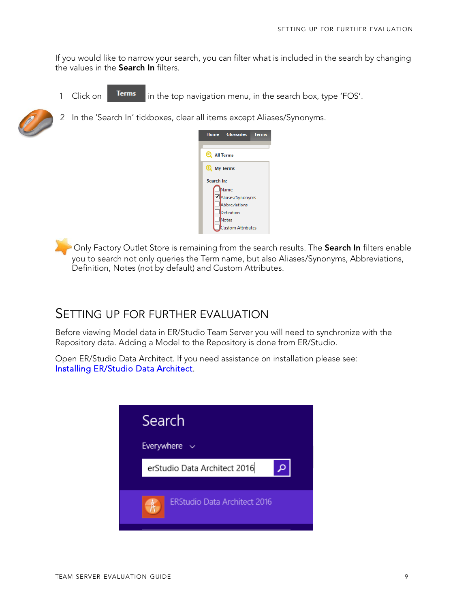If you would like to narrow your search, you can filter what is included in the search by changing the values in the Search In filters.

1 Click on **Terms** in the top navigation menu, in the search box, type 'FOS'.



2 In the 'Search In' tickboxes, clear all items except Aliases/Synonyms.



Only Factory Outlet Store is remaining from the search results. The Search In filters enable you to search not only queries the Term name, but also Aliases/Synonyms, Abbreviations, Definition, Notes (not by default) and Custom Attributes.

### <span id="page-9-0"></span>SETTING UP FOR FURTHER EVALUATION

Before viewing Model data in ER/Studio Team Server you will need to synchronize with the Repository data. Adding a Model to the Repository is done from ER/Studio.

Open ER/Studio Data Architect. If you need assistance on installation please see: [Installing ER/Studio Data Architect.](http://docwiki.embarcadero.com/ERStudioDA/2016/en/Installing_Embarcadero_ER/Studio_Data_Architect)

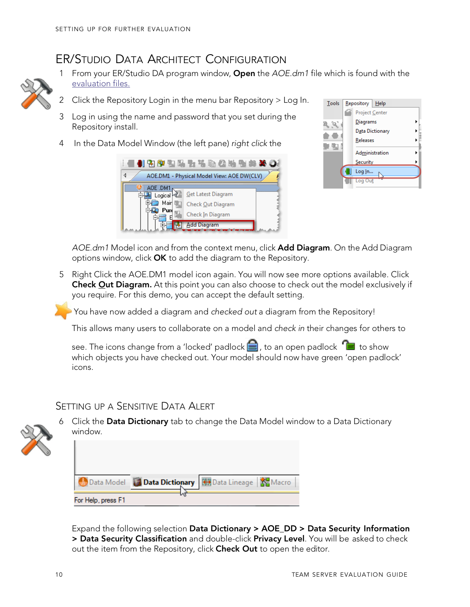### ER/STUDIO DATA ARCHITECT CONFIGURATION

<span id="page-10-0"></span>

- 1 From your ER/Studio DA program window, Open the *AOE.dm1* file which is found with the [evaluation files.](http://docs.embarcadero.com/products/er_studio_team_server/16.1.0/Eval_PDF_files.zip)
- 2 Click the Repository Login in the menu bar Repository > Log In.
- 3 Log in using the name and password that you set during the Repository install.
- 4 In the Data Model Window (the left pane) *right click* the



| Tools | Repository   Help |
|-------|-------------------|
|       | Project Center    |
|       | Diagrams          |
|       | Data Dictionary   |
|       | Releases          |
|       | Administration    |
|       | Security          |
|       | Log In            |
|       | Out               |

*AOE.dm1* Model icon and from the context menu, click Add Diagram. On the Add Diagram options window, click OK to add the diagram to the Repository.

5 Right Click the AOE.DM1 model icon again. You will now see more options available. Click **Check Qut Diagram.** At this point you can also choose to check out the model exclusively if you require. For this demo, you can accept the default setting.

You have now added a diagram and *checked out* a diagram from the Repository!

This allows many users to collaborate on a model and *check in* their changes for others to

see. The icons change from a 'locked' padlock  $\Box$ , to an open padlock  $\Box$  to show which objects you have checked out. Your model should now have green 'open padlock' icons.

#### SETTING UP A SENSITIVE DATA ALERT



6 Click the Data Dictionary tab to change the Data Model window to a Data Dictionary window.

|                    | Data Model <b>Data Dictionary</b> HB Data Lineage   Nacro |  |
|--------------------|-----------------------------------------------------------|--|
| For Help, press F1 |                                                           |  |

Expand the following selection Data Dictionary > AOE\_DD > Data Security Information > Data Security Classification and double-click Privacy Level. You will be asked to check out the item from the Repository, click Check Out to open the editor.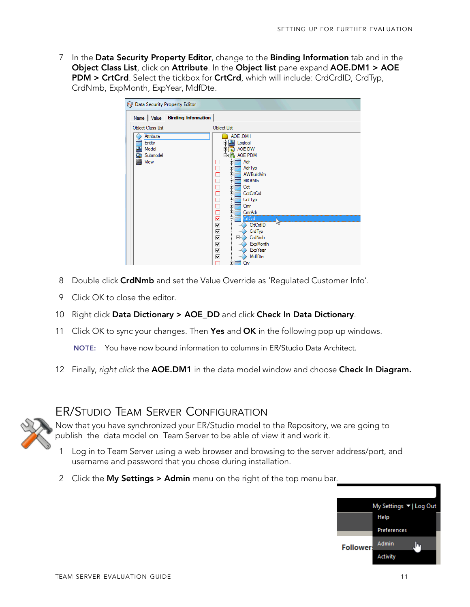7 In the Data Security Property Editor, change to the Binding Information tab and in the Object Class List, click on Attribute. In the Object list pane expand AOE.DM1 > AOE PDM > CrtCrd. Select the tickbox for CrtCrd, which will include: CrdCrdID, CrdTyp, CrdNmb, ExpMonth, ExpYear, MdfDte.

| Data Security Property Editor                                    |                                                                                                                                                                                                                                                                                                                                                                                                                                                              |
|------------------------------------------------------------------|--------------------------------------------------------------------------------------------------------------------------------------------------------------------------------------------------------------------------------------------------------------------------------------------------------------------------------------------------------------------------------------------------------------------------------------------------------------|
| Name   Value   Binding Information                               |                                                                                                                                                                                                                                                                                                                                                                                                                                                              |
| <b>Object Class List</b>                                         | <b>Object List</b>                                                                                                                                                                                                                                                                                                                                                                                                                                           |
| Attribute<br>Entity<br>望<br>Model<br>ā.<br>Submodel<br>ä<br>View | AOE .DM1<br>王<br>Logical<br>$\overline{+}$<br>AOE DW<br>向<br>m<br>AOE PDM<br>日语<br>Adr<br>电<br>□<br>П<br>电<br>AdrTyp<br>Ē<br>电<br><b>AWBuildVm</b><br>电<br><b>BIIOfMIs</b><br>500<br>电<br>Cct<br>电<br><b>CctCrtCrd</b><br>电<br>CctTyp<br>ō<br>Ėŀ<br>Cmr<br>$\Box$<br>申<br>CmrAdr<br>Ė.<br>⊽<br>CrtCrd<br>$\mathbb{Z}$<br>⊽<br>CrtCrdID<br>⊽<br>CrdTyp<br>⊽<br>由.<br>CrdNmb<br>⊽<br><b>ExpMonth</b><br>⊽<br><b>Exp</b> Year<br><b>MdfDte</b><br>⊽<br>由<br>Cry |

- 8 Double click CrdNmb and set the Value Override as 'Regulated Customer Info'.
- 9 Click OK to close the editor.
- 10 Right click Data Dictionary > AOE\_DD and click Check In Data Dictionary.
- 11 Click OK to sync your changes. Then Yes and OK in the following pop up windows. NOTE: You have now bound information to columns in ER/Studio Data Architect.
- 12 Finally, *right click* the AOE.DM1 in the data model window and choose Check In Diagram.

### <span id="page-11-0"></span>ER/STUDIO TEAM SERVER CONFIGURATION

Now that you have synchronized your ER/Studio model to the Repository, we are going to publish the data model on Team Server to be able of view it and work it.

- 1 Log in to Team Server using a web browser and browsing to the server address/port, and username and password that you chose during installation.
- 2 Click the My Settings > Admin menu on the right of the top menu bar.

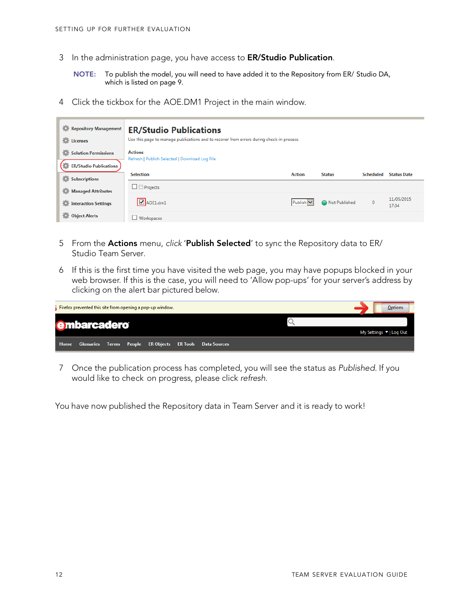- 3 In the administration page, you have access to **ER/Studio Publication**.
	- NOTE: To publish the model, you will need to have added it to the Repository from ER/ Studio DA, which is listed on page 9.
- 4 Click the tickbox for the AOE.DM1 Project in the main window.

| Repository Management<br>Licenses | <b>ER/Studio Publications</b><br>Use this page to manage publications and to recover from errors during check-in process. |               |               |                  |                     |
|-----------------------------------|---------------------------------------------------------------------------------------------------------------------------|---------------|---------------|------------------|---------------------|
| 츸<br><b>Solution Permissions</b>  | <b>Actions</b><br>Refresh   Publish Selected   Download Log File                                                          |               |               |                  |                     |
| <b>ER/Studio Publications</b>     |                                                                                                                           |               |               |                  |                     |
| o.<br><b>Subscriptions</b>        | <b>Selection</b>                                                                                                          | <b>Action</b> | <b>Status</b> | <b>Scheduled</b> | <b>Status Date</b>  |
| Managed Attributes                | $\Box$ Projects                                                                                                           |               |               |                  |                     |
| <b>Interaction Settings</b>       | $\n  Q$ AOE1.dm1                                                                                                          | Publish V     | Not Published | $\mathbf{0}$     | 11/05/2015<br>17:34 |
| <b>Object Alerts</b>              | $\Box$ Workspaces                                                                                                         |               |               |                  |                     |

- 5 From the Actions menu, *click* 'Publish Selected' to sync the Repository data to ER/ Studio Team Server.
- 6 If this is the first time you have visited the web page, you may have popups blocked in your web browser. If this is the case, you will need to 'Allow pop-ups' for your server's address by clicking on the alert bar pictured below.

|      |                    |  | Firefox prevented this site from opening a pop-up window. |                                                        |  |  | <b>Options</b>          |
|------|--------------------|--|-----------------------------------------------------------|--------------------------------------------------------|--|--|-------------------------|
|      | <b>embarcadero</b> |  |                                                           |                                                        |  |  | My Settings ▼   Log Out |
| Home |                    |  |                                                           | Glossaries Terms People ERObjects ERTools Data Sources |  |  |                         |
|      |                    |  |                                                           |                                                        |  |  |                         |

7 Once the publication process has completed, you will see the status as *Published*. If you would like to check on progress, please click *refresh*.

You have now published the Repository data in Team Server and it is ready to work!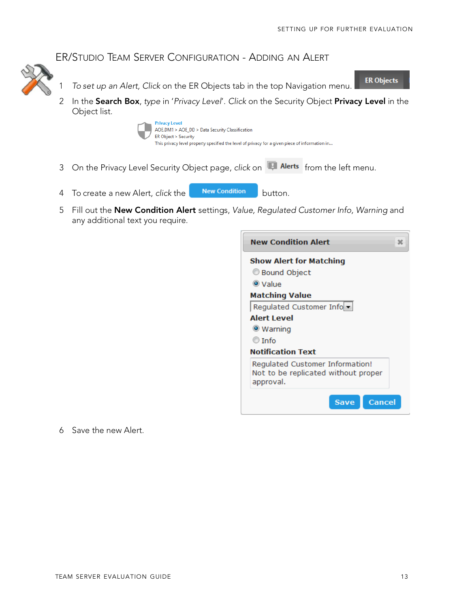**ER Objects** 

#### ER/STUDIO TEAM SERVER CONFIGURATION - ADDING AN ALERT



2 In the Search Box, *type* in '*Privacy Level*'. *Click* on the Security Object Privacy Level in the Object list.



- 3 On the Privacy Level Security Object page, *click* on **Full Alerts** from the left menu.
- 4 To create a new Alert, *click* the **New Condition** button.
- 5 Fill out the New Condition Alert settings, *Value, Regulated Customer Info, Warning* and any additional text you require.

| <b>New Condition Alert</b>     |                                                                        |               |
|--------------------------------|------------------------------------------------------------------------|---------------|
| <b>Show Alert for Matching</b> |                                                                        |               |
| <b>Bound Object</b>            |                                                                        |               |
| $\bullet$ Value                |                                                                        |               |
| <b>Matching Value</b>          |                                                                        |               |
|                                | Regulated Customer Info                                                |               |
| <b>Alert Level</b>             |                                                                        |               |
| $\bullet$ Warning              |                                                                        |               |
| $\circ$ Info                   |                                                                        |               |
| <b>Notification Text</b>       |                                                                        |               |
| approval.                      | Regulated Customer Information!<br>Not to be replicated without proper |               |
|                                | <b>Save</b>                                                            | <b>Cancel</b> |

6 Save the new Alert.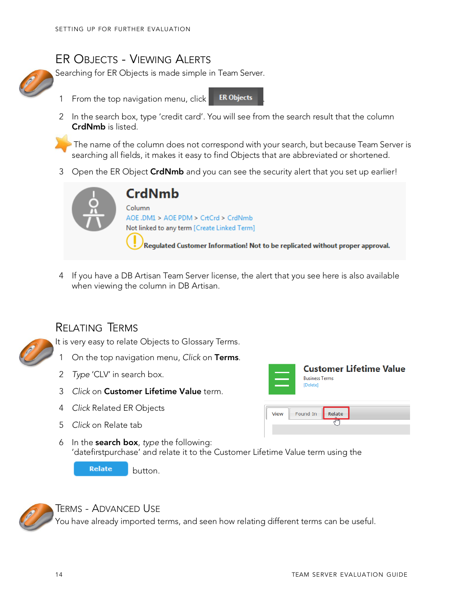### <span id="page-14-1"></span>ER OBJECTS - VIEWING ALERTS

Searching for ER Objects is made simple in Team Server.

- 1 From the top navigation menu, click **ER Objects**
- 2 In the search box, type 'credit card'. You will see from the search result that the column CrdNmb is listed.

The name of the column does not correspond with your search, but because Team Server is searching all fields, it makes it easy to find Objects that are abbreviated or shortened.

3 Open the ER Object CrdNmb and you can see the security alert that you set up earlier!



# **CrdNmb**

Column AOE .DM1 > AOE PDM > CrtCrd > CrdNmb Not linked to any term [Create Linked Term]

Regulated Customer Information! Not to be replicated without proper approval.

4 If you have a DB Artisan Team Server license, the alert that you see here is also available when viewing the column in DB Artisan.

### <span id="page-14-0"></span>RELATING TERMS

It is very easy to relate Objects to Glossary Terms.

- 1 On the top navigation menu, *Click* on Terms.
- 2 *Type* 'CLV' in search box.
- 3 *Click* on Customer Lifetime Value term.
- 4 *Click* Related ER Objects
- 5 *Click* on Relate tab



**Customer Lifetime Value Rusiness Terms** [Delete]



6 In the search box, *type* the following: 'datefirstpurchase' and relate it to the Customer Lifetime Value term using the

**Relate** button.



TERMS - ADVANCED USE

You have already imported terms, and seen how relating different terms can be useful.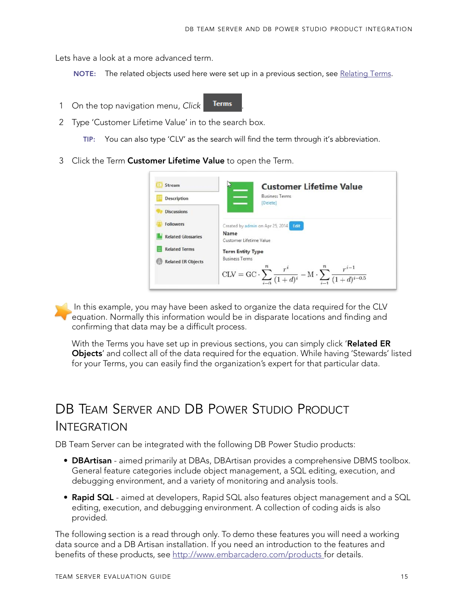Lets have a look at a more advanced term.

NOTE: The related objects used here were set up in a previous section, se[e Relating Terms.](#page-14-0)

- 1 On the top navigation menu, Click **Terms**
- 2 Type 'Customer Lifetime Value' in to the search box.
	- TIP: You can also type 'CLV' as the search will find the term through it's abbreviation.
- 3 Click the Term Customer Lifetime Value to open the Term.

| Stream                    | <b>Customer Lifetime Value</b>                                                                                                          |
|---------------------------|-----------------------------------------------------------------------------------------------------------------------------------------|
| <b>Description</b>        | <b>Business Terms</b><br>[Delete]                                                                                                       |
| <b>Discussions</b>        |                                                                                                                                         |
| <b>Followers</b>          | Created by admin on Apr 25, 2014<br>Edit                                                                                                |
| <b>Related Glossaries</b> | Name<br>Customer Lifetime Value                                                                                                         |
| <b>Related Terms</b>      | <b>Term Entity Type</b>                                                                                                                 |
| <b>Related ER Objects</b> | <b>Business Terms</b><br>$CLV = GC \cdot \sum_{i=0}^{n} \frac{r^{i}}{(1+d)^{i}} - M \cdot \sum_{i=1}^{n} \frac{r^{i-1}}{(1+d)^{i-0.5}}$ |

In this example, you may have been asked to organize the data required for the CLV equation. Normally this information would be in disparate locations and finding and confirming that data may be a difficult process.

With the Terms you have set up in previous sections, you can simply click 'Related ER **Objects'** and collect all of the data required for the equation. While having 'Stewards' listed for your Terms, you can easily find the organization's expert for that particular data.

# <span id="page-15-0"></span>DB TEAM SERVER AND DB POWER STUDIO PRODUCT INTEGRATION

DB Team Server can be integrated with the following DB Power Studio products:

- **DBArtisan** aimed primarily at DBAs, DBArtisan provides a comprehensive DBMS toolbox. General feature categories include object management, a SQL editing, execution, and debugging environment, and a variety of monitoring and analysis tools.
- Rapid SQL aimed at developers, Rapid SQL also features object management and a SQL editing, execution, and debugging environment. A collection of coding aids is also provided.

The following section is a read through only. To demo these features you will need a working data source and a DB Artisan installation. If you need an introduction to the features and benefits of these products, see<http://www.embarcadero.com/products> for details.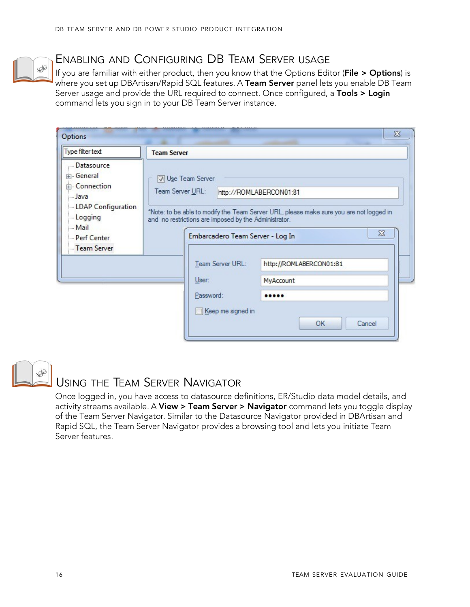001 Embarc adero Technologies, Inc. Embarcadero, the Embarcadero Technologies logos, and all other Embarcadero Technologies product or service names are trademarks or registered trademarks of Embarcadero Technologies, Inc. All other trademarks are property of their respective owners

This software/documentation contains proprietary information of Embarcadero Technologies, Inc.Mit is provided under a license agreement containing restrictions on use and disclosure and is also protected by copyright law. Reverse engineering of the software is prohibited.

Embarcadero Technologies, Inc. is a leading provider of award-winning tools for application developers and database professionals so they can design systems right, build them faster and run them better, regardless of their platform or programming language. Ninety of the Fortune 100 and an active community of more than three million users worldwide rely on Embarcadero products to increase productivity, reduce costs, simplify change management and compliance, and accelerate innovation. Founded in 1993, Embarcaderois headquartered in San Francisco, with offices located around the world. To learn more, please visit httpWwww.embarcadero.com.

**BOVBSØ201**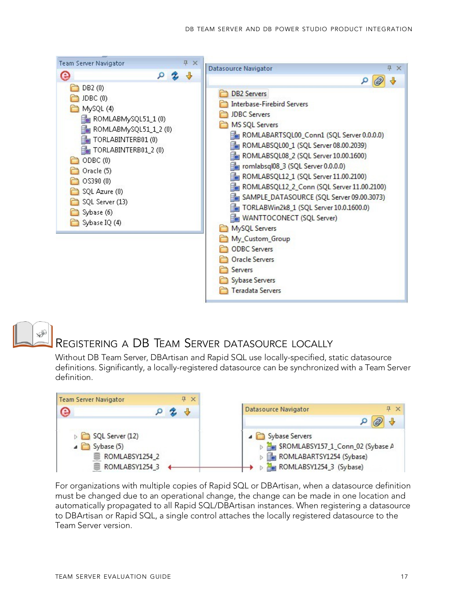

## <span id="page-17-0"></span>REGISTERING A DB TEAM SERVER DATASOURCE LOCALLY

Without DB Team Server, DBArtisan and Rapid SQL use locally-specified, static datasource definitions. Significantly, a locally-registered datasource can be synchronized with a Team Server definition.



For organizations with multiple copies of Rapid SQL or DBArtisan, when a datasource definition must be changed due to an operational change, the change can be made in one location and automatically propagated to all Rapid SQL/DBArtisan instances. When registering a datasource to DBArtisan or Rapid SQL, a single control attaches the locally registered datasource to the Team Server version.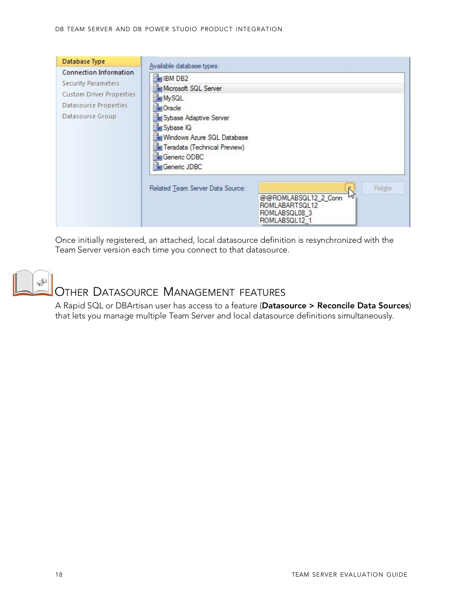| Database Type                                                                                                                 | Available database types:                                                                                                                                                                         |
|-------------------------------------------------------------------------------------------------------------------------------|---------------------------------------------------------------------------------------------------------------------------------------------------------------------------------------------------|
| Connection Information<br><b>Security Parameters</b><br>Custom Driver Properties<br>Datasource Properties<br>Datasource Group | <b>HeilBM DB2</b><br>Microsoft SQL Server<br>MySQL<br>Oracle<br>Sybase Adaptive Server<br>Sybase IQ<br>Windows Azure SQL Database<br>Teradata (Technical Preview)<br>Generic ODBC<br>Generic JDBC |
|                                                                                                                               | Related Team Server Data Source:<br>Relate<br>ĸ<br>$\mathcal{V}$<br>@@ROMLABSQL12_2_Conn<br>ROMLABARTSQL12<br>ROMLABSQL08 3<br>ROMLABSQL12 1                                                      |

Once initially registered, an attached, local datasource definition is resynchronized with the Team Server version each time you connect to that datasource.

<span id="page-18-0"></span>

### OTHER DATASOURCE MANAGEMENT FEATURES

A Rapid SQL or DBArtisan user has access to a feature (Datasource > Reconcile Data Sources) that lets you manage multiple Team Server and local datasource definitions simultaneously.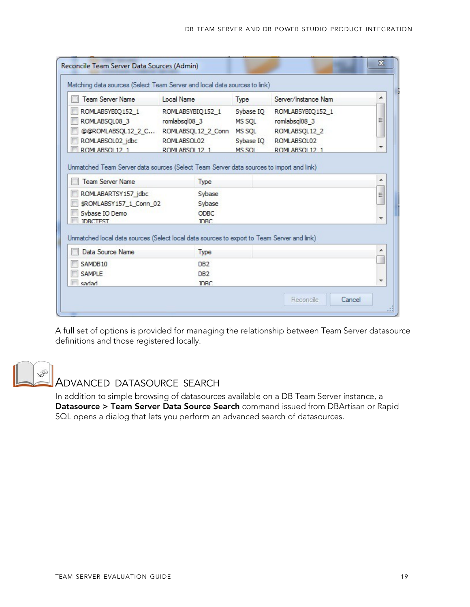| Matching data sources (Select Team Server and local data sources to link)                                          |                                                                                         |                                                      |                                                                                     |   |
|--------------------------------------------------------------------------------------------------------------------|-----------------------------------------------------------------------------------------|------------------------------------------------------|-------------------------------------------------------------------------------------|---|
| <b>Team Server Name</b>                                                                                            | Local Name                                                                              | Type                                                 | Server/Instance Nam                                                                 |   |
| ROMLABSYBIQ152 1<br>ROMLABSQL08 3<br>@@ROMLABSQL12_2_C<br>ROMLABSOL02 jdbc<br>ROMI ARSOL 12 1                      | ROMLABSYBIQ152_1<br>romlabsgl08_3<br>ROMLABSQL12 2 Conn<br>ROMLABSOL02<br>ROMLARSOL12_1 | Sybase IO<br>MS SOL<br>MS SQL<br>Sybase IO<br>MS SOI | ROMLABSYBIQ152 1<br>romlabsql08_3<br>ROMLABSQL12 2<br>ROMLABSOL02<br>ROMLARSOL 12 1 |   |
| Unmatched Team Server data sources (Select Team Server data sources to import and link)<br><b>Team Server Name</b> | Type                                                                                    |                                                      |                                                                                     |   |
| ROMLABARTSY157 jdbc<br>\$ROMLABSY157 1 Conn 02<br>Sybase IO Demo<br><b>IDBCTEST</b>                                | Sybase<br>Sybase<br><b>ODBC</b><br><b>IDBC</b>                                          |                                                      |                                                                                     | Ξ |
| Unmatched local data sources (Select local data sources to export to Team Server and link)                         |                                                                                         |                                                      |                                                                                     | ▲ |
| Data Source Name                                                                                                   | Type                                                                                    |                                                      |                                                                                     |   |
| SAMDB10<br><b>SAMPLE</b>                                                                                           | DB <sub>2</sub><br>DB <sub>2</sub>                                                      |                                                      |                                                                                     |   |
|                                                                                                                    |                                                                                         |                                                      |                                                                                     |   |

A full set of options is provided for managing the relationship between Team Server datasource definitions and those registered locally.

<span id="page-19-0"></span>

#### ADVANCED DATASOURCE SEARCH

In addition to simple browsing of datasources available on a DB Team Server instance, a Datasource > Team Server Data Source Search command issued from DBArtisan or Rapid SQL opens a dialog that lets you perform an advanced search of datasources.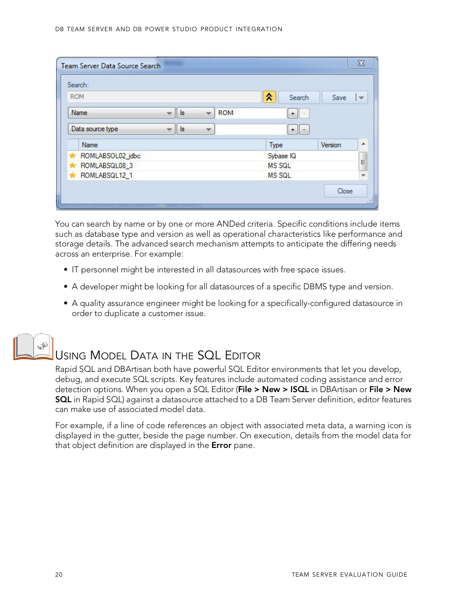| Search:            |                |                          |               |               |         |           |
|--------------------|----------------|--------------------------|---------------|---------------|---------|-----------|
| <b>ROM</b>         |                |                          |               | ⋩             | Search  | Save<br>v |
| Name               | $\vert$ s<br>w | v                        | <b>ROM</b>    |               |         |           |
| Data source type   | s <br>÷        | $\overline{\phantom{a}}$ |               |               |         |           |
| Name               |                |                          |               | Type          | Version | ۰         |
| ROMLABSOL02_jdbc   |                |                          |               | Sybase IQ     |         | l.        |
| ROMLABSQL08_3      |                |                          | <b>MS SQL</b> |               |         |           |
| ROMLABSQL12_1<br>* |                |                          |               | <b>MS SQL</b> |         | ₩         |

You can search by name or by one or more ANDed criteria. Specific conditions include items such as database type and version as well as operational characteristics like performance and storage details. The advanced search mechanism attempts to anticipate the differing needs across an enterprise. For example:

- IT personnel might be interested in all datasources with free space issues.
- A developer might be looking for all datasources of a specific DBMS type and version.
- A quality assurance engineer might be looking for a specifically-configured datasource in order to duplicate a customer issue.



## USING MODEL DATA IN THE SQL EDITOR

Rapid SQL and DBArtisan both have powerful SQL Editor environments that let you develop, debug, and execute SQL scripts. Key features include automated coding assistance and error detection options. When you open a SQL Editor (File > New > ISQL in DBArtisan or File > New SQL in Rapid SQL) against a datasource attached to a DB Team Server definition, editor features can make use of associated model data.

For example, if a line of code references an object with associated meta data, a warning icon is displayed in the gutter, beside the page number. On execution, details from the model data for that object definition are displayed in the **Error** pane.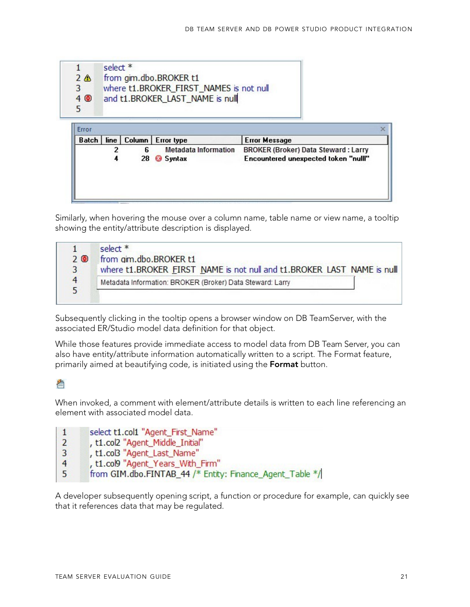

Similarly, when hovering the mouse over a column name, table name or view name, a tooltip showing the entity/attribute description is displayed.

|    | select *                                                               |
|----|------------------------------------------------------------------------|
| 20 | from gim.dbo.BROKER t1                                                 |
|    | where t1.BROKER FIRST NAME is not null and t1.BROKER LAST NAME is null |
|    | Metadata Information: BROKER (Broker) Data Steward: Larry              |
|    |                                                                        |

Subsequently clicking in the tooltip opens a browser window on DB TeamServer, with the associated ER/Studio model data definition for that object.

While those features provide immediate access to model data from DB Team Server, you can also have entity/attribute information automatically written to a script. The Format feature, primarily aimed at beautifying code, is initiated using the **Format** button.

#### 冶

When invoked, a comment with element/attribute details is written to each line referencing an element with associated model data.

- select t1.col1 "Agent First Name"  $\mathbf{1}$
- $\overline{2}$ , t1.col2 "Agent\_Middle\_Initial"
- , t1.col3 "Agent\_Last\_Name" 3
- $\overline{4}$ , t1.col9 "Agent\_Years\_With\_Firm"
- 5 from GIM.dbo.FINTAB 44 /\* Entity: Finance Agent Table \*/

A developer subsequently opening script, a function or procedure for example, can quickly see that it references data that may be regulated.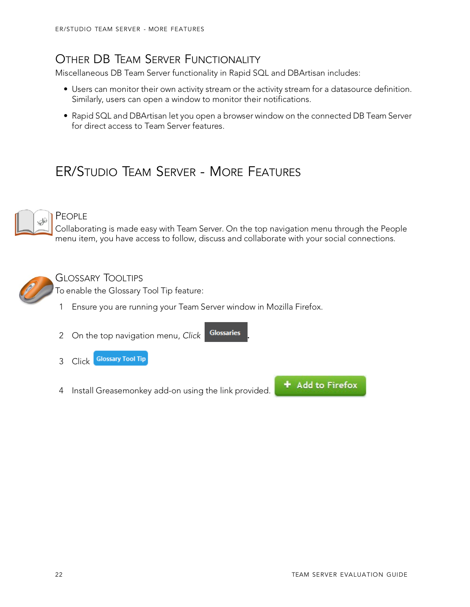### OTHER DB TEAM SERVER FUNCTIONALITY

Miscellaneous DB Team Server functionality in Rapid SQL and DBArtisan includes:

- Users can monitor their own activity stream or the activity stream for a datasource definition. Similarly, users can open a window to monitor their notifications.
- Rapid SQL and DBArtisan let you open a browser window on the connected DB Team Server for direct access to Team Server features.

# <span id="page-22-0"></span>ER/STUDIO TEAM SERVER - MORE FEATURES



#### <span id="page-22-1"></span>P<sub>FOPL</sub>E

Collaborating is made easy with Team Server. On the top navigation menu through the People menu item, you have access to follow, discuss and collaborate with your social connections.



#### <span id="page-22-2"></span>GLOSSARY TOOLTIPS

To enable the Glossary Tool Tip feature:

1 Ensure you are running your Team Server window in Mozilla Firefox.

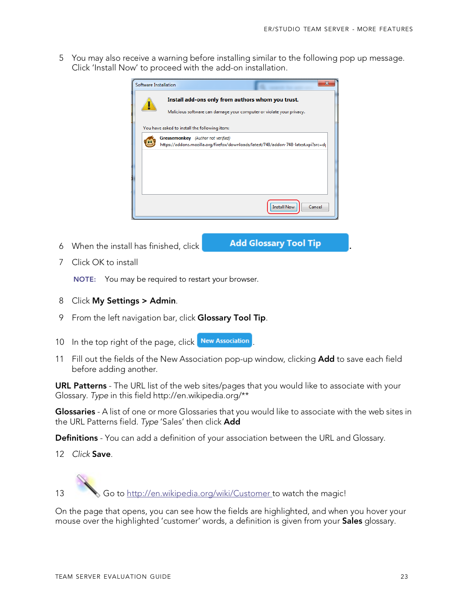5 You may also receive a warning before installing similar to the following pop up message. Click 'Install Now' to proceed with the add-on installation.



6 When the install has finished, click **Add Glossary Tool Tip** 

7 Click OK to install

NOTE: You may be required to restart your browser.

- 8 Click My Settings > Admin.
- 9 From the left navigation bar, click Glossary Tool Tip.
- 10 In the top right of the page, click New Association
- 11 Fill out the fields of the New Association pop-up window, clicking **Add** to save each field before adding another.

URL Patterns - The URL list of the web sites/pages that you would like to associate with your Glossary. *Type* [in this field http://en.wikipedia.org/\\*\\*](http://en.wikipedia.org/)

Glossaries - A list of one or more Glossaries that you would like to associate with the web sites in the URL Patterns field. *Type* 'Sales' then click Add

**Definitions** - You can add a definition of your association between the URL and Glossary.

12 *Click* Save.

13 Go to<http://en.wikipedia.org/wiki/Customer> to watch the magic!

On the page that opens, you can see how the fields are highlighted, and when you hover your mouse over the highlighted 'customer' words, a definition is given from your **Sales** glossary.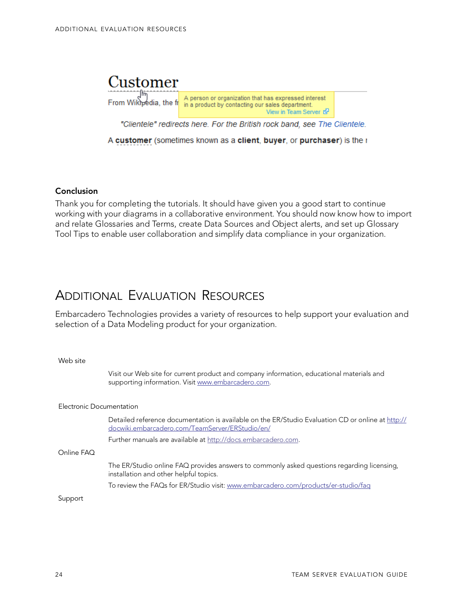

A customer (sometimes known as a client, buyer, or purchaser) is the r

Conclusion

Thank you for completing the tutorials. It should have given you a good start to continue working with your diagrams in a collaborative environment. You should now know how to import and relate Glossaries and Terms, create Data Sources and Object alerts, and set up Glossary Tool Tips to enable user collaboration and simplify data compliance in your organization.

### <span id="page-24-0"></span>ADDITIONAL EVALUATION RESOURCES

Embarcadero Technologies provides a variety of resources to help support your evaluation and selection of a Data Modeling product for your organization.

#### Web site

Visit our Web site for current product and company information, educational materials and supporting information. Visit [www.embarcadero.com.](http://www.embarcadero.com/)

#### Electronic Documentation

Detailed reference documentation is available on the ER/Studio Evaluation CD or online at [http://](http://docwiki.embarcadero.com/TeamServer/ERStudio/en/) [docwiki.embarcadero.com/TeamServer/ERStudio/en/](http://docwiki.embarcadero.com/TeamServer/ERStudio/en/)

[Further manuals are](http://docs.embarcadero.com/) available at [http://docs.embarcadero.com.](http://docs.embarcadero.com/)

Online FAQ

The ER/Studio online FAQ provides answers to commonly asked questions regarding licensing, installation and other helpful topics.

To review the FAQs for ER/Studio visit: [www.embarcadero.com/products/er-studio/faq](http://www.embarcadero.com/products/er-studio/faq)

Support